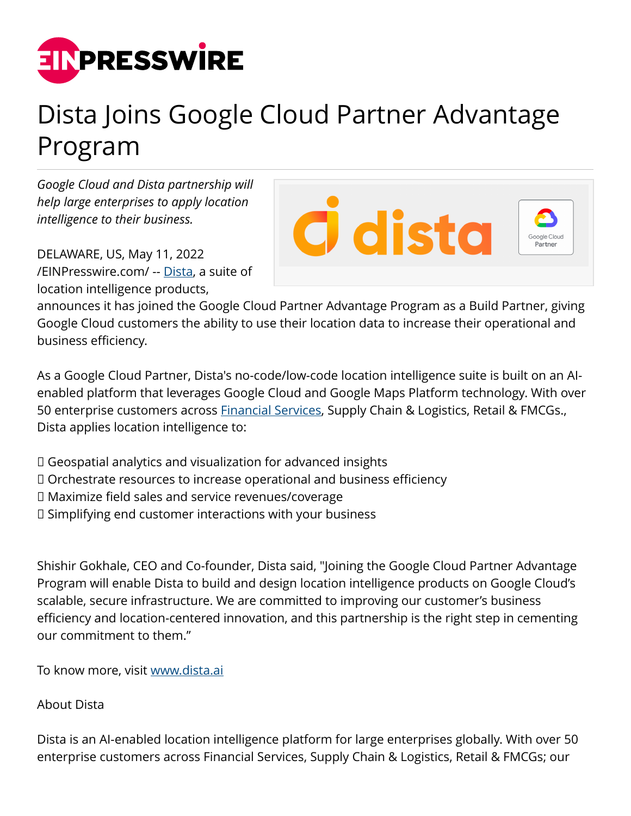

## Dista Joins Google Cloud Partner Advantage Program

*Google Cloud and Dista partnership will help large enterprises to apply location intelligence to their business.*

DELAWARE, US, May 11, 2022 [/EINPresswire.com/](http://www.einpresswire.com) -- [Dista](https://www.dista.ai/about-us/), a suite of location intelligence products,

**C** dista

announces it has joined the Google Cloud Partner Advantage Program as a Build Partner, giving Google Cloud customers the ability to use their location data to increase their operational and business efficiency.

As a Google Cloud Partner, Dista's no-code/low-code location intelligence suite is built on an AIenabled platform that leverages Google Cloud and Google Maps Platform technology. With over 50 enterprise customers across **Financial Services**, Supply Chain & Logistics, Retail & FMCGs., Dista applies location intelligence to:

 $\Box$  Geospatial analytics and visualization for advanced insights

- $\Box$  Orchestrate resources to increase operational and business efficiency
- $\Box$  Maximize field sales and service revenues/coverage
- $\Box$  Simplifying end customer interactions with your business

Shishir Gokhale, CEO and Co-founder, Dista said, "Joining the Google Cloud Partner Advantage Program will enable Dista to build and design location intelligence products on Google Cloud's scalable, secure infrastructure. We are committed to improving our customer's business efficiency and location-centered innovation, and this partnership is the right step in cementing our commitment to them."

To know more, visit [www.dista.ai](https://www.dista.ai)

About Dista

Dista is an AI-enabled location intelligence platform for large enterprises globally. With over 50 enterprise customers across Financial Services, Supply Chain & Logistics, Retail & FMCGs; our